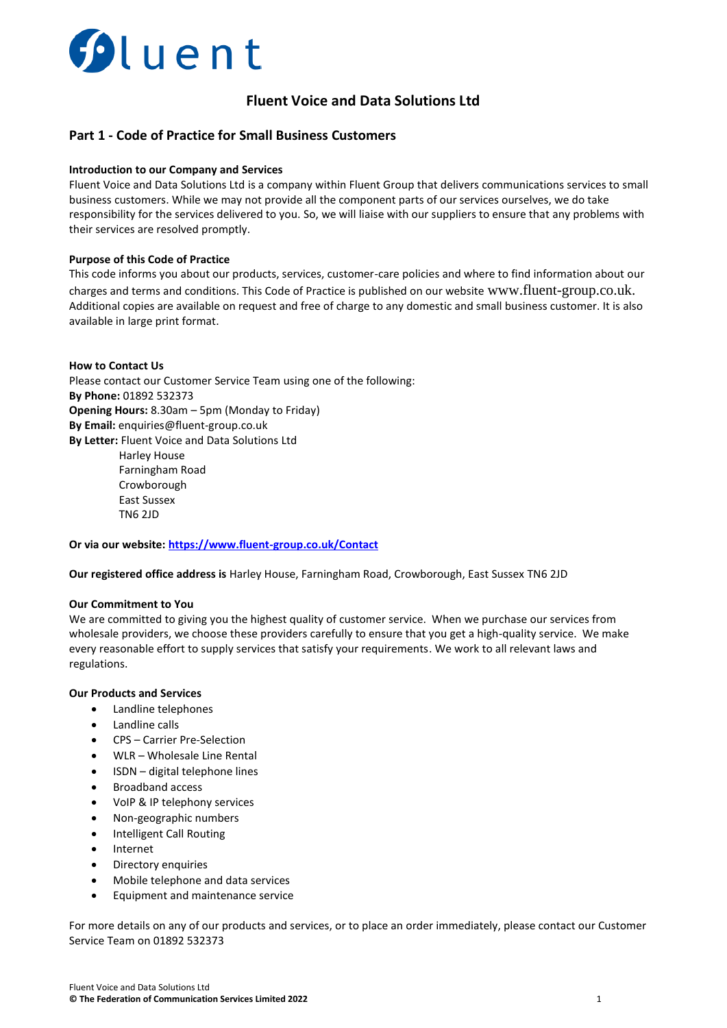

# **Fluent Voice and Data Solutions Ltd**

## **Part 1 - Code of Practice for Small Business Customers**

### **Introduction to our Company and Services**

Fluent Voice and Data Solutions Ltd is a company within Fluent Group that delivers communications services to small business customers. While we may not provide all the component parts of our services ourselves, we do take responsibility for the services delivered to you. So, we will liaise with our suppliers to ensure that any problems with their services are resolved promptly.

#### **Purpose of this Code of Practice**

This code informs you about our products, services, customer-care policies and where to find information about our charges and terms and conditions. This Code of Practice is published on our website [www.fluent-group.co.uk.](http://www.fluent-group.co.uk/) Additional copies are available on request and free of charge to any domestic and small business customer. It is also available in large print format.

#### **How to Contact Us**

Please contact our Customer Service Team using one of the following: **By Phone:** 01892 532373 **Opening Hours:** 8.30am – 5pm (Monday to Friday) **By Email:** enquiries@fluent-group.co.uk **By Letter:** Fluent Voice and Data Solutions Ltd Harley House Farningham Road Crowborough East Sussex

TN6 2JD

**Or via our website:<https://www.fluent-group.co.uk/Contact>**

**Our registered office address is** Harley House, Farningham Road, Crowborough, East Sussex TN6 2JD

### **Our Commitment to You**

We are committed to giving you the highest quality of customer service. When we purchase our services from wholesale providers, we choose these providers carefully to ensure that you get a high-quality service. We make every reasonable effort to supply services that satisfy your requirements. We work to all relevant laws and regulations.

### **Our Products and Services**

- Landline telephones
- Landline calls
- CPS Carrier Pre-Selection
- WLR Wholesale Line Rental
- ISDN digital telephone lines
- Broadband access
- VoIP & IP telephony services
- Non-geographic numbers
- Intelligent Call Routing
- **Internet**
- Directory enquiries
- Mobile telephone and data services
- Equipment and maintenance service

For more details on any of our products and services, or to place an order immediately, please contact our Customer Service Team on 01892 532373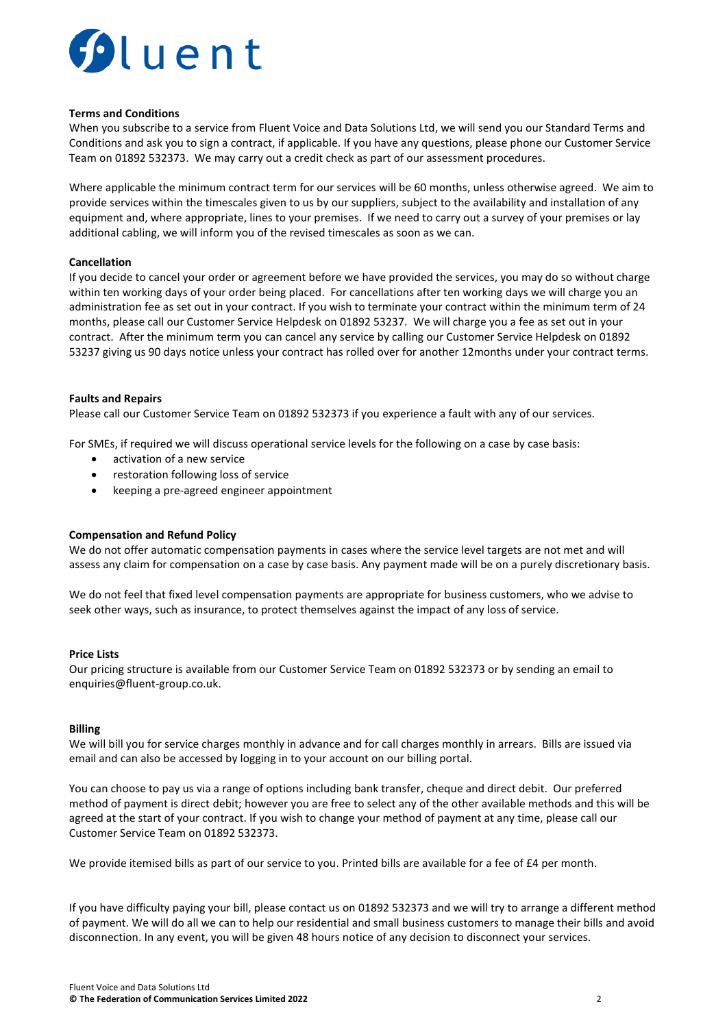

### **Terms and Conditions**

When you subscribe to a service from Fluent Voice and Data Solutions Ltd, we will send you our Standard Terms and Conditions and ask you to sign a contract, if applicable. If you have any questions, please phone our Customer Service Team on 01892 532373. We may carry out a credit check as part of our assessment procedures.

Where applicable the minimum contract term for our services will be 60 months, unless otherwise agreed. We aim to provide services within the timescales given to us by our suppliers, subject to the availability and installation of any equipment and, where appropriate, lines to your premises. If we need to carry out a survey of your premises or lay additional cabling, we will inform you of the revised timescales as soon as we can.

### **Cancellation**

If you decide to cancel your order or agreement before we have provided the services, you may do so without charge within ten working days of your order being placed. For cancellations after ten working days we will charge you an administration fee as set out in your contract. If you wish to terminate your contract within the minimum term of 24 months, please call our Customer Service Helpdesk on 01892 53237. We will charge you a fee as set out in your contract. After the minimum term you can cancel any service by calling our Customer Service Helpdesk on 01892 53237 giving us 90 days notice unless your contract has rolled over for another 12months under your contract terms.

### **Faults and Repairs**

Please call our Customer Service Team on 01892 532373 if you experience a fault with any of our services.

For SMEs, if required we will discuss operational service levels for the following on a case by case basis:

- activation of a new service
- restoration following loss of service
- keeping a pre-agreed engineer appointment

#### **Compensation and Refund Policy**

We do not offer automatic compensation payments in cases where the service level targets are not met and will assess any claim for compensation on a case by case basis. Any payment made will be on a purely discretionary basis.

We do not feel that fixed level compensation payments are appropriate for business customers, who we advise to seek other ways, such as insurance, to protect themselves against the impact of any loss of service.

#### **Price Lists**

Our pricing structure is available from our Customer Service Team on 01892 532373 or by sending an email to [enquiries@fluent-group.co.uk.](mailto:enquiries@fluent-group.co.uk)

#### **Billing**

We will bill you for service charges monthly in advance and for call charges monthly in arrears. Bills are issued via email and can also be accessed by logging in to your account on our billing portal.

You can choose to pay us via a range of options including bank transfer, cheque and direct debit. Our preferred method of payment is direct debit; however you are free to select any of the other available methods and this will be agreed at the start of your contract. If you wish to change your method of payment at any time, please call our Customer Service Team on 01892 532373.

We provide itemised bills as part of our service to you. Printed bills are available for a fee of £4 per month.

If you have difficulty paying your bill, please contact us on 01892 532373 and we will try to arrange a different method of payment. We will do all we can to help our residential and small business customers to manage their bills and avoid disconnection. In any event, you will be given 48 hours notice of any decision to disconnect your services.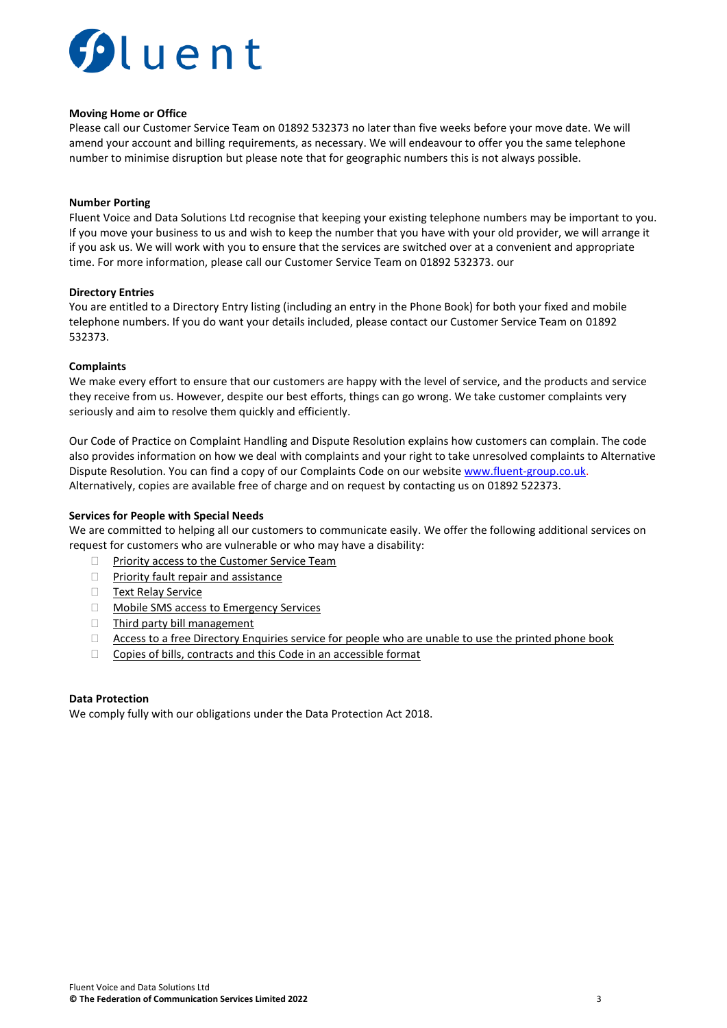

#### **Moving Home or Office**

Please call our Customer Service Team on 01892 532373 no later than five weeks before your move date. We will amend your account and billing requirements, as necessary. We will endeavour to offer you the same telephone number to minimise disruption but please note that for geographic numbers this is not always possible.

### **Number Porting**

Fluent Voice and Data Solutions Ltd recognise that keeping your existing telephone numbers may be important to you. If you move your business to us and wish to keep the number that you have with your old provider, we will arrange it if you ask us. We will work with you to ensure that the services are switched over at a convenient and appropriate time. For more information, please call our Customer Service Team on 01892 532373. our

#### **Directory Entries**

You are entitled to a Directory Entry listing (including an entry in the Phone Book) for both your fixed and mobile telephone numbers. If you do want your details included, please contact our Customer Service Team on 01892 532373.

#### **Complaints**

We make every effort to ensure that our customers are happy with the level of service, and the products and service they receive from us. However, despite our best efforts, things can go wrong. We take customer complaints very seriously and aim to resolve them quickly and efficiently.

Our Code of Practice on Complaint Handling and Dispute Resolution explains how customers can complain. The code also provides information on how we deal with complaints and your right to take unresolved complaints to Alternative Dispute Resolution. You can find a copy of our Complaints Code on our websit[e www.fluent-group.co.uk.](http://www.fluent-group.co.uk/) Alternatively, copies are available free of charge and on request by contacting us on 01892 522373.

#### **Services for People with Special Needs**

We are committed to helping all our customers to communicate easily. We offer the following additional services on request for customers who are vulnerable or who may have a disability:

- **Priority access to the Customer Service Team**
- **Priority fault repair and assistance**
- **Text Relay Service**
- **Mobile SMS access to Emergency Services**
- $\Box$  Third party bill management
- $\Box$  Access to a free Directory Enquiries service for people who are unable to use the printed phone book
- $\Box$  Copies of bills, contracts and this Code in an accessible format

#### **Data Protection**

We comply fully with our obligations under the Data Protection Act 2018.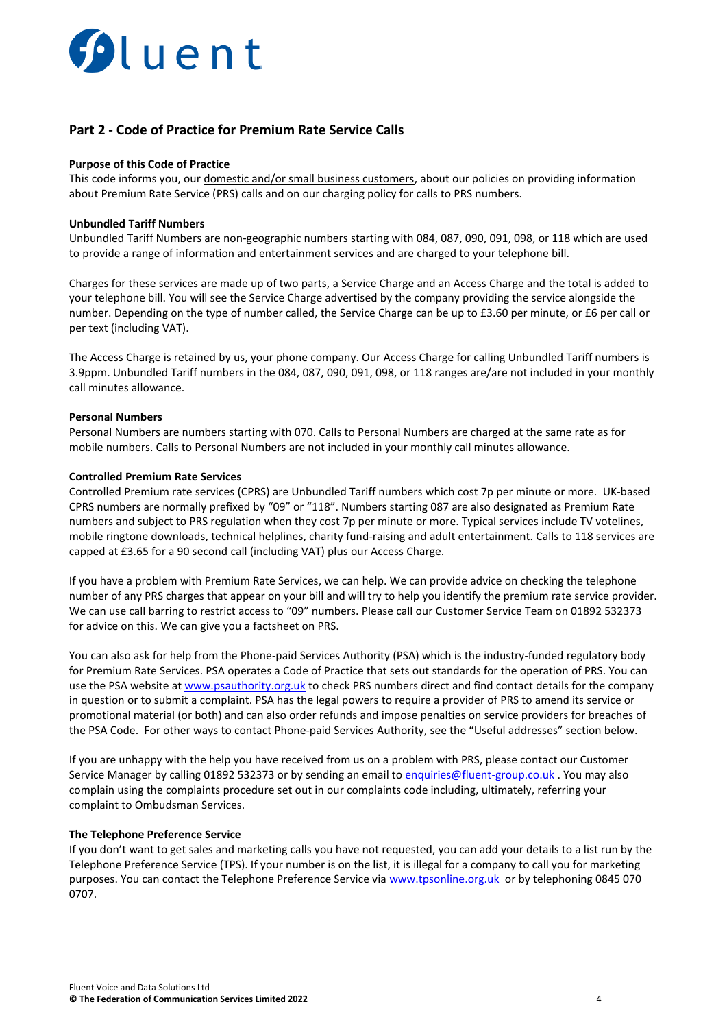

## **Part 2 - Code of Practice for Premium Rate Service Calls**

#### **Purpose of this Code of Practice**

This code informs you, our domestic and/or small business customers, about our policies on providing information about Premium Rate Service (PRS) calls and on our charging policy for calls to PRS numbers.

#### **Unbundled Tariff Numbers**

Unbundled Tariff Numbers are non-geographic numbers starting with 084, 087, 090, 091, 098, or 118 which are used to provide a range of information and entertainment services and are charged to your telephone bill.

Charges for these services are made up of two parts, a Service Charge and an Access Charge and the total is added to your telephone bill. You will see the Service Charge advertised by the company providing the service alongside the number. Depending on the type of number called, the Service Charge can be up to £3.60 per minute, or £6 per call or per text (including VAT).

The Access Charge is retained by us, your phone company. Our Access Charge for calling Unbundled Tariff numbers is 3.9ppm. Unbundled Tariff numbers in the 084, 087, 090, 091, 098, or 118 ranges are/are not included in your monthly call minutes allowance.

#### **Personal Numbers**

Personal Numbers are numbers starting with 070. Calls to Personal Numbers are charged at the same rate as for mobile numbers. Calls to Personal Numbers are not included in your monthly call minutes allowance.

#### **Controlled Premium Rate Services**

Controlled Premium rate services (CPRS) are Unbundled Tariff numbers which cost 7p per minute or more. UK-based CPRS numbers are normally prefixed by "09" or "118". Numbers starting 087 are also designated as Premium Rate numbers and subject to PRS regulation when they cost 7p per minute or more. Typical services include TV votelines, mobile ringtone downloads, technical helplines, charity fund-raising and adult entertainment. Calls to 118 services are capped at £3.65 for a 90 second call (including VAT) plus our Access Charge.

If you have a problem with Premium Rate Services, we can help. We can provide advice on checking the telephone number of any PRS charges that appear on your bill and will try to help you identify the premium rate service provider. We can use call barring to restrict access to "09" numbers. Please call our Customer Service Team on 01892 532373 for advice on this. We can give you a factsheet on PRS.

You can also ask for help from the Phone-paid Services Authority (PSA) which is the industry-funded regulatory body for Premium Rate Services. PSA operates a Code of Practice that sets out standards for the operation of PRS. You can use the PSA website at [www.psauthority.org.uk](http://www.psauthority.org.uk/) to check PRS numbers direct and find contact details for the company in question or to submit a complaint. PSA has the legal powers to require a provider of PRS to amend its service or promotional material (or both) and can also order refunds and impose penalties on service providers for breaches of the PSA Code. For other ways to contact Phone-paid Services Authority, see the "Useful addresses" section below.

If you are unhappy with the help you have received from us on a problem with PRS, please contact our Customer Service Manager by calling 01892 532373 or by sending an email to [enquiries@fluent-group.co.uk](mailto:enquiries@fluent-group.co.uk). You may also complain using the complaints procedure set out in our complaints code including, ultimately, referring your complaint to Ombudsman Services.

#### **The Telephone Preference Service**

If you don't want to get sales and marketing calls you have not requested, you can add your details to a list run by the Telephone Preference Service (TPS). If your number is on the list, it is illegal for a company to call you for marketing purposes. You can contact the Telephone Preference Service via [www.tpsonline.org.uk](http://www.tpsonline.org.uk/) or by telephoning 0845 070 0707.